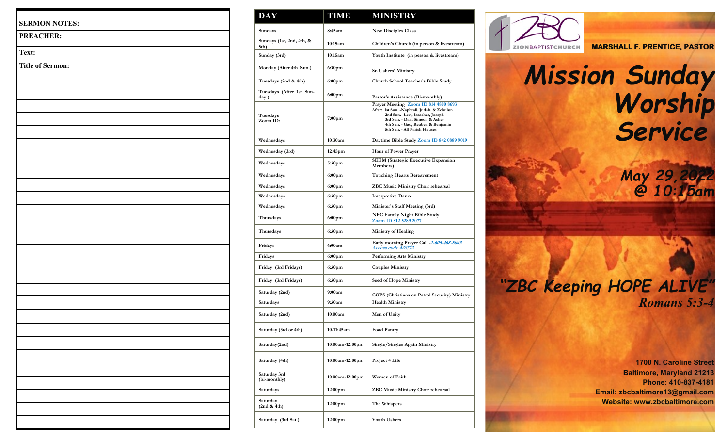| <b>SERMON NOTES:</b>    |  |  |  |
|-------------------------|--|--|--|
| <b>PREACHER:</b>        |  |  |  |
| Text:                   |  |  |  |
| <b>Title of Sermon:</b> |  |  |  |
|                         |  |  |  |
|                         |  |  |  |
|                         |  |  |  |
|                         |  |  |  |
|                         |  |  |  |
|                         |  |  |  |
|                         |  |  |  |
|                         |  |  |  |
|                         |  |  |  |
|                         |  |  |  |
|                         |  |  |  |
|                         |  |  |  |
|                         |  |  |  |
|                         |  |  |  |
|                         |  |  |  |
|                         |  |  |  |
|                         |  |  |  |
|                         |  |  |  |
|                         |  |  |  |
|                         |  |  |  |
|                         |  |  |  |
|                         |  |  |  |
|                         |  |  |  |
|                         |  |  |  |
|                         |  |  |  |
|                         |  |  |  |
|                         |  |  |  |

| <b>DAY</b>                        | <b>TIME</b>         | <b>MINISTRY</b>                                                                                                                                                                                                                  |  |  |
|-----------------------------------|---------------------|----------------------------------------------------------------------------------------------------------------------------------------------------------------------------------------------------------------------------------|--|--|
| Sundays                           | 8:45am              | <b>New Disciples Class</b>                                                                                                                                                                                                       |  |  |
| Sundays (1st, 2nd, 4th, &<br>5th) | 10:15am             | Children's Church (in person & livestream)                                                                                                                                                                                       |  |  |
| Sunday (3rd)                      | 10:15am             | Youth Institute (in person & livestream)                                                                                                                                                                                         |  |  |
| Monday (After 4th Sun.)           | 6:30pm              | <b>Sr. Ushers' Ministry</b>                                                                                                                                                                                                      |  |  |
| Tuesdays (2nd & 4th)              | 6:00pm              | Church School Teacher's Bible Study                                                                                                                                                                                              |  |  |
| Tuesdays (After 1st Sun-<br>day ) | 6:00 <sub>pm</sub>  | Pastor's Assistance (Bi-monthly)                                                                                                                                                                                                 |  |  |
| Tuesdays<br>Zoom ID:              | 7:00pm              | Prayer Meeting Zoom ID 814 4800 8693<br>After: 1st Sun. - Naphtali, Judah, & Zebulun<br>2nd Sun. - Levi, Issachar, Joseph<br>3rd Sun. - Dan, Simeon & Asher<br>4th Sun. - Gad, Reuben & Benjamin<br>5th Sun. - All Parish Houses |  |  |
| Wednesdays                        | 10:30am             | Daytime Bible Study Zoom ID 842 0889 9019                                                                                                                                                                                        |  |  |
| Wednesday (3rd)                   | 12:45pm             | Hour of Power Prayer                                                                                                                                                                                                             |  |  |
| Wednesdays                        | 5:30pm              | <b>SEEM</b> (Strategic Executive Expansion<br>Members)                                                                                                                                                                           |  |  |
| Wednesdays                        | 6:00pm              | <b>Touching Hearts Bereavement</b>                                                                                                                                                                                               |  |  |
| Wednesdays                        | 6:00pm              | ZBC Music Ministry Choir rehearsal                                                                                                                                                                                               |  |  |
| Wednesdays                        | 6:30pm              | <b>Interpretive Dance</b>                                                                                                                                                                                                        |  |  |
| Wednesdays                        | 6:30pm              | Minister's Staff Meeting (3rd)                                                                                                                                                                                                   |  |  |
| Thursdays                         | 6:00pm              | NBC Family Night Bible Study<br>Zoom ID 812 5289 2077                                                                                                                                                                            |  |  |
| Thursdays                         | 6:30pm              | <b>Ministry of Healing</b>                                                                                                                                                                                                       |  |  |
| Fridays                           | 6:00am              | Early morning Prayer Call -1-605-468-8003<br>Access code 426772                                                                                                                                                                  |  |  |
| Fridays                           | 6:00 <sub>pm</sub>  | <b>Performing Arts Ministry</b>                                                                                                                                                                                                  |  |  |
| Friday (3rd Fridays)              | 6:30pm              | <b>Couples Ministry</b>                                                                                                                                                                                                          |  |  |
| Friday (3rd Fridays)              | 6:30pm              | <b>Seed of Hope Ministry</b>                                                                                                                                                                                                     |  |  |
| Saturday (2nd)                    | 9:00am              | COPS (Christians on Patrol Security) Ministry                                                                                                                                                                                    |  |  |
| Saturdays                         | 9:30am              | <b>Health Ministry</b>                                                                                                                                                                                                           |  |  |
| Saturday (2nd)                    | 10:00am             | Men of Unity                                                                                                                                                                                                                     |  |  |
| Saturday (3rd or 4th)             | 10-11:45am          | <b>Food Pantry</b>                                                                                                                                                                                                               |  |  |
| Saturday(2nd)                     | 10:00am-12:00pm     | Single/Singles Again Ministry                                                                                                                                                                                                    |  |  |
| Saturday (4th)                    | 10:00am-12:00pm     | Project 4 Life                                                                                                                                                                                                                   |  |  |
| Saturday 3rd<br>(bi-monthly)      | 10:00am-12:00pm     | Women of Faith                                                                                                                                                                                                                   |  |  |
| Saturdays                         | 12:00pm             | ZBC Music Ministry Choir rehearsal                                                                                                                                                                                               |  |  |
| Saturday<br>(2nd & 4th)           | 12:00 <sub>pm</sub> | The Whispers                                                                                                                                                                                                                     |  |  |
| Saturday (3rd Sat.)               | 12:00 <sub>pm</sub> | <b>Youth Ushers</b>                                                                                                                                                                                                              |  |  |



**MARSHALL F. PRENTICE, PASTOR** 

# *Mission Sunday Worship Service*

*May 29,2022 @ 10:15am*

## *"ZBC Keeping HOPE ALIVE " Romans 5:3 - 4*

**1700 N. Caroline Street Baltimore, Maryland 21213 Phone: 410 -837 -4181 Email: zbcbaltimore13@gmail.com Website: www.zbcbaltimore.com**